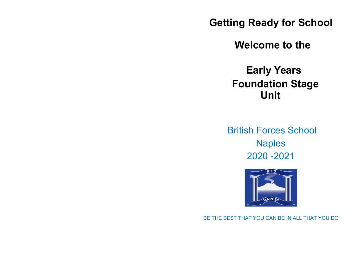**Getting Ready for School**

 **Welcome to the**

 **Early Years Foundation Stage Unit**

British Forces School Naples 2020 -2021



BE THE BEST THAT YOU CAN BE IN ALL THAT YOU DO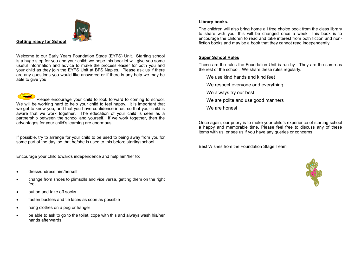

**Getting ready for School**

Welcome to our Early Years Foundation Stage (EYFS) Unit. Starting school is a huge step for you and your child; we hope this booklet will give you some useful information and advice to make the process easier for both you and your child as they join the EYFS Unit at BFS Naples. Please ask us if there are any questions you would like answered or if there is any help we may be able to give you.

Please encourage your child to look forward to coming to school. We will be working hard to help your child to feel happy. It is important that we get to know you, and that you have confidence in us, so that your child is aware that we work together. The education of your child is seen as a partnership between the school and yourself. If we work together, then the advantages for your child's learning are enormous.

If possible, try to arrange for your child to be used to being away from you for some part of the day, so that he/she is used to this before starting school.

Encourage your child towards independence and help him/her to:

- dress/undress him/herself
- change from shoes to plimsolls and vice versa, getting them on the right feet.
- put on and take off socks
- fasten buckles and tie laces as soon as possible
- hang clothes on a peg or hanger
- be able to ask to go to the toilet, cope with this and always wash his/her hands afterwards.

### **Library books.**

The children will also bring home a l free choice book from the class library to share with you; this will be changed once a week. This book is to encourage the children to read and take interest from both fiction and nonfiction books and may be a book that they cannot read independently.

## **Super School Rules**

These are the rules the Foundation Unit is run by. They are the same as the rest of the school. We share these rules regularly.

We use kind hands and kind feet

- We respect everyone and everything
- We always try our best
- We are polite and use good manners
- We are honest

Once again, our priory is to make your child's experience of starting school a happy and memorable time. Please feel free to discuss any of these items with us, or see us if you have any queries or concerns.

Best Wishes from the Foundation Stage Team

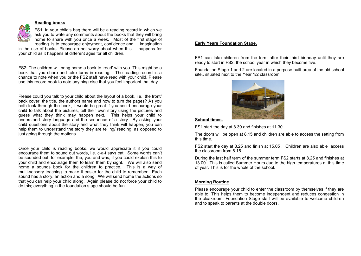# **Reading books**



FS1: In your child's bag there will be a reading record in which we ask you to write any comments about the books that they will bring home to share with you once a week. Most of the first stage of reading is to encourage enjoyment, confidence and imagination

in the use of books. Please do not worry about when this happens for your child as it happens at different ages for all children.

FS2: The children will bring home a book to 'read' with you. This might be a book that you share and take turns in reading. . The reading record is a chance to note when you or the FS2 staff have read with your child. Please use this record book to note anything else that you feel important that day.

Please could you talk to your child about the layout of a book, i.e., the front/ back cover, the title, the authors name and how to turn the pages? As you both look through the book, it would be great if you could encourage your child to talk about the pictures, tell their own story using the pictures and guess what they think may happen next. This helps your child to understand story language and the sequence of a story. By asking your child questions about the story and what they think will happen, you can help them to understand the story they are telling/ reading, as opposed to just going through the motions.

Once your child is reading books, we would appreciate it if you could encourage them to sound out words, i.e. c-a-t says cat. Some words can't be sounded out, for example, the, you and was, if you could explain this to your child and encourage them to learn them by sight. We will also send home a sounds book for the children to practice. This is a way of multi-sensory teaching to make it easier for the child to remember. Each sound has a story, an action and a song. We will send home the actions so that you can help your child along. Again please do not force your child to do this; everything in the foundation stage should be fun.

# **Early Years Foundation Stage.**

FS1 can take children from the term after their third birthday until they are ready to start in FS2, the school year in which they become five.

Foundation Stage 1 and 2 are located in a purpose built area of the old school site., situated next to the Year 1/2 classroom.



### **School times.**

FS1 start the day at 8.30 and finishes at 11.30.

The doors will be open at 8.15 and children are able to access the setting from this time.

FS2 start the day at 8.25 and finish at 15.05 . Children are also able access the classroom from 8.15.

During the last half term of the summer term FS2 starts at 8.25 and finishes at 13.00. This is called Summer Hours due to the high temperatures at this time of year. This is for the whole of the school.

# **Morning Routine**

Please encourage your child to enter the classroom by themselves if they are able to. This helps them to become independent and reduces congestion in the cloakroom. Foundation Stage staff will be available to welcome children and to speak to parents at the double doors.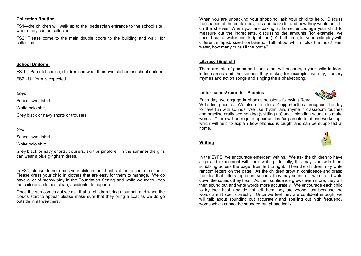### **Collection Routine**

FS1—the children will walk up to the pedestrian entrance to the school site , where they can be collected.

FS2: Please come to the main double doors to the building and wait for collection

#### **School Uniform**:

FS 1 – Parental choice; children can wear their own clothes or school uniform.

FS2 - Uniform is expected.

## *Boys*

School sweatshirt

White polo shirt

Grey black or navy shorts or trousers

### *Girls*

School sweatshirt

White polo shirt

Grey black or navy shorts, trousers, skirt or pinafore. In the summer the girls can wear a blue gingham dress.

In FS1, please do not dress your child in their best clothes to come to school. Please dress your child in clothes that are easy for them to manage. We do have a lot of messy play in the Foundation Setting and while we try to keep the children's clothes clean, accidents do happen.

Once the sun comes out we ask that all children bring a sunhat, and when the clouds start to appear please make sure that they bring a coat as we do go outside in all weathers.

When you are unpacking your shopping, ask your child to help. Discuss the shapes of the containers, tins and packets, and how they would best fit on the shelves. When you are baking at home, encourage your child to measure out the ingredients, discussing the amounts (for example, we need 1 cup of water and 100g of flour). At bath time, let your child play with different shaped/ sized containers. Talk about which holds the most/ least water, how many cups fill the bottle?

# **Literacy (English)**

There are lots of games and songs that will encourage your child to learn letter names and the sounds they make, for example eye-spy, nursery rhymes and action songs and singing the alphabet song.

### **Letter names/ sounds - Phonics**



Each day, we engage in phonics sessions following Read,

Write Inc. phonics. We also utilise lots of opportunities throughout the day to have fun with sounds. We use rhythm and rhyme in classroom routines and practise orally segmenting (splitting up) and plending sounds to make words. There will be regular opportunities for parents to attend workshops which will help to explain how phonics is taught and can be supported at home.

### **Writing**

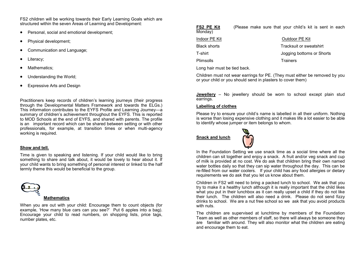FS2 children will be working towards their Early Learning Goals which are structured within the seven Areas of Learning and Development:

- Personal, social and emotional development;
- Physical development;
- Communication and Language;
- Literacy;
- Mathematics:
- Understanding the World;
- Expressive Arts and Design

Practitioners keep records of children's learning journeys (their progress through the Developmental Matters Framework and towards the ELGs.) This information contributes to the EYFS Profile and Learning Journey—a summary of children's achievement throughout the EYFS. This is reported to MOD Schools at the end of EYFS, and shared with parents. The profile is an important record which can be shared between setting or with other professionals, for example, at transition times or when multi-agency working is required.

### **Show and tell.**

Time is given to speaking and listening. If your child would like to bring something to share and talk about, it would be lovely to hear about it. If your child wants to bring something of personal interest or linked to the half termly theme this would be beneficial to the group.



#### **Mathematics**

When you are out with your child: Encourage them to count objects (for example, 'How many blue cars can you see?' Put 6 apples into a bag). Encourage your child to read numbers, on shopping lists, price tags, number plates, etc.

| FS2 PE Kit<br>Monday) | (Please make sure that your child's kit is sent in each |
|-----------------------|---------------------------------------------------------|
| Indoor PE Kit         | Outdoor PE Kit                                          |
| <b>Black shorts</b>   | Tracksuit or sweatshirt                                 |
| T-shirt               | Jogging bottoms or Shorts                               |
| Plimsolls             | <b>Trainers</b>                                         |
|                       |                                                         |

Long hair must be tied back.

Children must not wear earrings for PE. (They must either be removed by you or your child or you should send in plasters to cover them)

**Jewellery** – No jewellery should be worn to school except plain stud earrings.

### **Labelling of clothes**

Please try to ensure your child's name is labelled in all their uniform. Nothing is worse than losing expensive clothing and it makes life a lot easier to be able to identify whose jumper or item belongs to whom.

**Snack and lunch**



In the Foundation Setting we use snack time as a social time where all the children can sit together and enjoy a snack. A fruit and/or veg snack and cup of milk is provided at no cost. We do ask that children bring their own named water bottles daily so that they can sip water throughout the day. This can be re-filled from our water coolers. If your child has any food allergies or dietary requirements we do ask that you let us know about them.

Children in FS2 will need to bring a packed lunch to school. We ask that you try to make it a healthy lunch although it is really important that the child likes what you put in their lunchbox as it can really upset a child if they do not like their lunch. The children will also need a drink. Please do not send fizzy drinks to school. We are a nut free school so we ask that you avoid products with nuts.

The children are supervised at lunchtime by members of the Foundation Team as well as other members of staff, so there will always be someone they are familiar with around. They will also monitor what the children are eating and encourage them to eat.